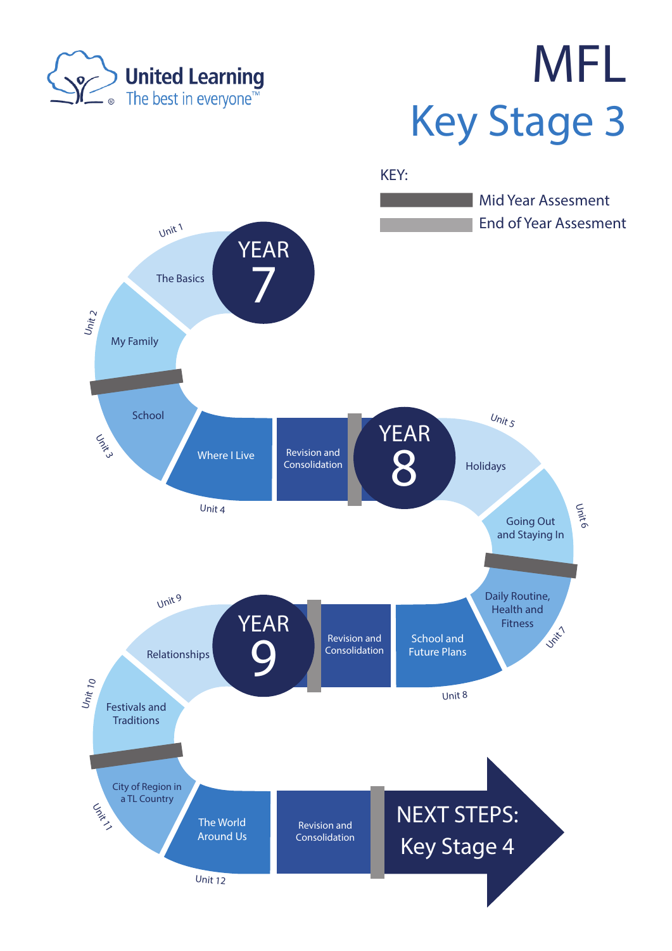

## MFL Key Stage 3

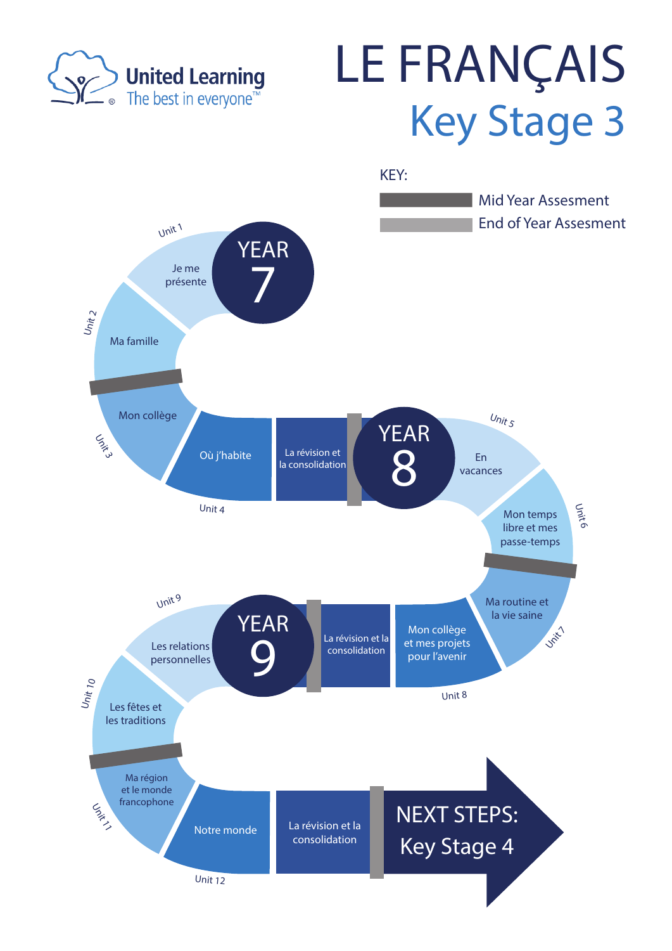

## LE FRANÇAIS Key Stage 3